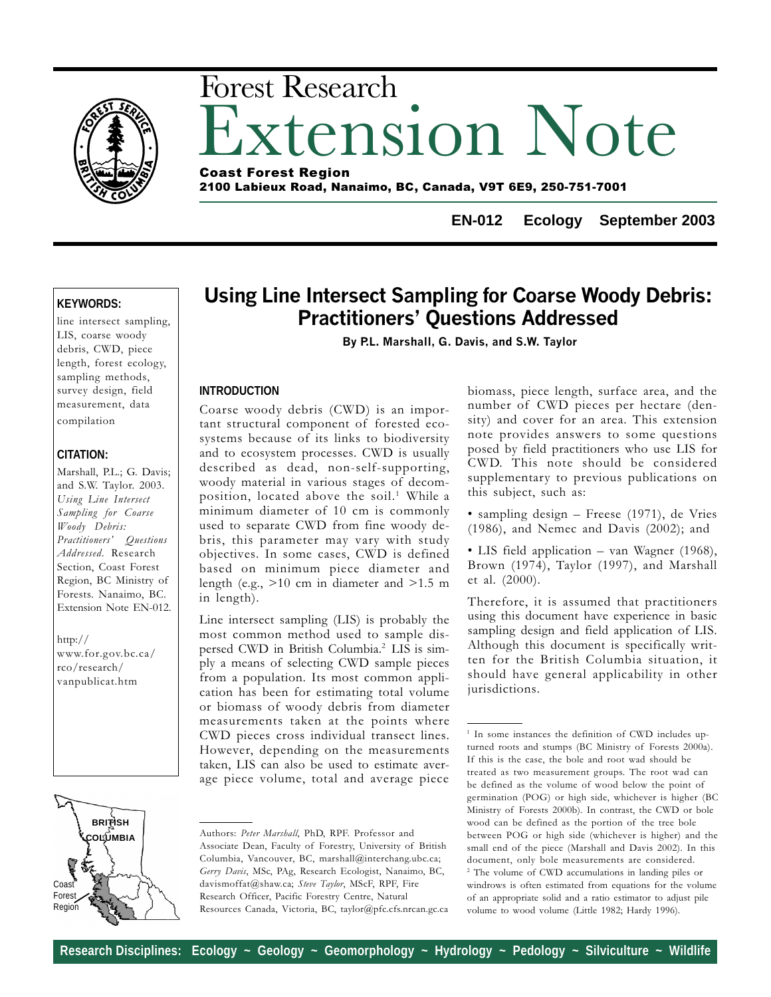

# xtension Note Forest Research Coast Forest Region

2100 Labieux Road, Nanaimo, BC, Canada, V9T 6E9, 250-751-7001

**EN-012 Ecology September 2003**

## **KEYWORDS:**

line intersect sampling, LIS, coarse woody debris, CWD, piece length, forest ecology, sampling methods, survey design, field measurement, data compilation

# **CITATION:**

Marshall, P.L.; G. Davis; and S.W. Taylor. 2003. Using Line Intersect Sampling for Coarse Woody Debris: Practitioners' Questions Addressed. Research Section, Coast Forest Region, BC Ministry of Forests. Nanaimo, BC. Extension Note EN-012.

http:// www.for.gov.bc.ca/ rco/research/ vanpublicat.htm

# Using Line Intersect Sampling for Coarse Woody Debris: **Practitioners' Questions Addressed**

By P.L. Marshall, G. Davis, and S.W. Taylor

### **INTRODUCTION**

Coarse woody debris (CWD) is an important structural component of forested ecosystems because of its links to biodiversity and to ecosystem processes. CWD is usually described as dead, non-self-supporting, woody material in various stages of decomposition, located above the soil.<sup>1</sup> While a minimum diameter of 10 cm is commonly used to separate CWD from fine woody debris, this parameter may vary with study objectives. In some cases, CWD is defined based on minimum piece diameter and length (e.g., >10 cm in diameter and >1.5 m in length).

Line intersect sampling (LIS) is probably the most common method used to sample dispersed CWD in British Columbia.2 LIS is simply a means of selecting CWD sample pieces from a population. Its most common application has been for estimating total volume or biomass of woody debris from diameter measurements taken at the points where CWD pieces cross individual transect lines. However, depending on the measurements taken, LIS can also be used to estimate average piece volume, total and average piece

**BRITISH COLUMBIA** Coast **Forest** Region

Authors: Peter Marshall, PhD, RPF. Professor and Associate Dean, Faculty of Forestry, University of British Columbia, Vancouver, BC, marshall@interchang.ubc.ca; Gerry Davis, MSc, PAg, Research Ecologist, Nanaimo, BC, davismoffat@shaw.ca; Steve Taylor, MScF, RPF, Fire Research Officer, Pacific Forestry Centre, Natural Resources Canada, Victoria, BC, taylor@pfc.cfs.nrcan.gc.ca biomass, piece length, surface area, and the number of CWD pieces per hectare (density) and cover for an area. This extension note provides answers to some questions posed by field practitioners who use LIS for CWD. This note should be considered supplementary to previous publications on this subject, such as:

• sampling design  $-$  Freese (1971), de Vries (1986), and Nemec and Davis (2002); and

• LIS field application – van Wagner (1968), Brown (1974), Taylor (1997), and Marshall et al. (2000).

Therefore, it is assumed that practitioners using this document have experience in basic sampling design and field application of LIS. Although this document is specifically written for the British Columbia situation, it should have general applicability in other jurisdictions.

<sup>1</sup> In some instances the definition of CWD includes upturned roots and stumps (BC Ministry of Forests 2000a). If this is the case, the bole and root wad should be treated as two measurement groups. The root wad can be defined as the volume of wood below the point of germination (POG) or high side, whichever is higher (BC Ministry of Forests 2000b). In contrast, the CWD or bole wood can be defined as the portion of the tree bole between POG or high side (whichever is higher) and the small end of the piece (Marshall and Davis 2002). In this document, only bole measurements are considered. 2 The volume of CWD accumulations in landing piles or windrows is often estimated from equations for the volume of an appropriate solid and a ratio estimator to adjust pile volume to wood volume (Little 1982; Hardy 1996).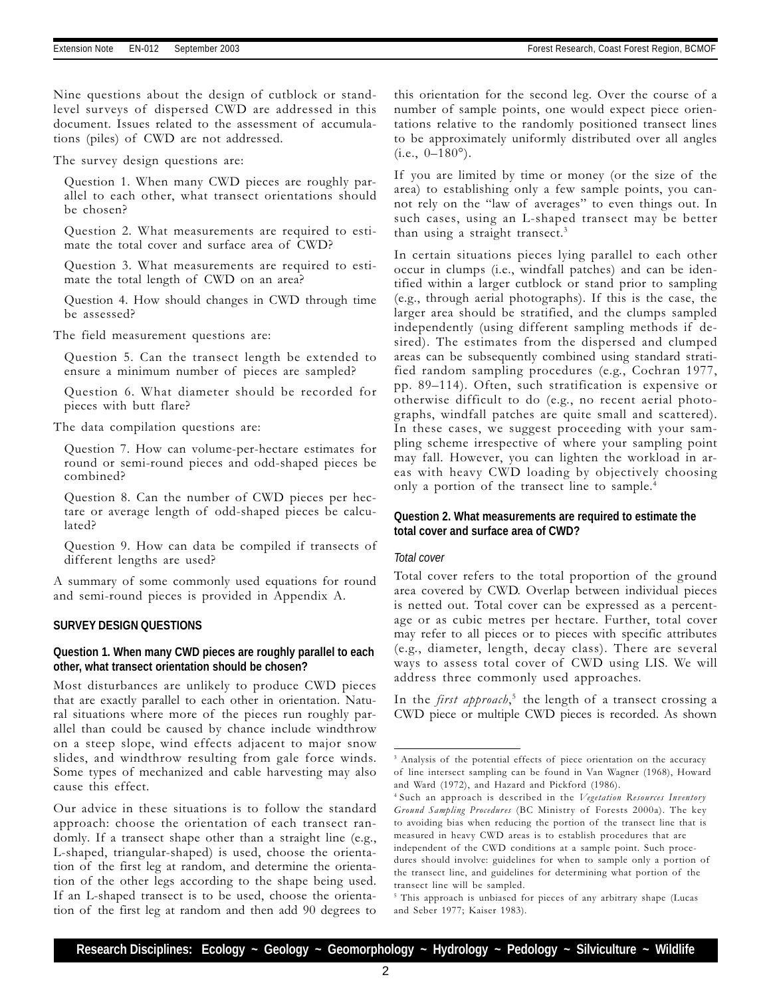Nine questions about the design of cutblock or standlevel surveys of dispersed CWD are addressed in this document. Issues related to the assessment of accumulations (piles) of CWD are not addressed.

The survey design questions are:

Question 1. When many CWD pieces are roughly parallel to each other, what transect orientations should be chosen?

Question 2. What measurements are required to estimate the total cover and surface area of CWD?

Question 3. What measurements are required to estimate the total length of CWD on an area?

Question 4. How should changes in CWD through time be assessed?

The field measurement questions are:

Question 5. Can the transect length be extended to ensure a minimum number of pieces are sampled?

Question 6. What diameter should be recorded for pieces with butt flare?

The data compilation questions are:

Question 7. How can volume-per-hectare estimates for round or semi-round pieces and odd-shaped pieces be combined?

Question 8. Can the number of CWD pieces per hectare or average length of odd-shaped pieces be calculated?

Question 9. How can data be compiled if transects of different lengths are used?

A summary of some commonly used equations for round and semi-round pieces is provided in Appendix A.

#### **SURVEY DESIGN QUESTIONS**

#### **Question 1. When many CWD pieces are roughly parallel to each other, what transect orientation should be chosen?**

Most disturbances are unlikely to produce CWD pieces that are exactly parallel to each other in orientation. Natural situations where more of the pieces run roughly parallel than could be caused by chance include windthrow on a steep slope, wind effects adjacent to major snow slides, and windthrow resulting from gale force winds. Some types of mechanized and cable harvesting may also cause this effect.

Our advice in these situations is to follow the standard approach: choose the orientation of each transect randomly. If a transect shape other than a straight line (e.g., L-shaped, triangular-shaped) is used, choose the orientation of the first leg at random, and determine the orientation of the other legs according to the shape being used. If an L-shaped transect is to be used, choose the orientation of the first leg at random and then add 90 degrees to this orientation for the second leg. Over the course of a number of sample points, one would expect piece orientations relative to the randomly positioned transect lines to be approximately uniformly distributed over all angles  $(i.e., 0-180^{\circ}).$ 

If you are limited by time or money (or the size of the area) to establishing only a few sample points, you cannot rely on the "law of averages" to even things out. In such cases, using an L-shaped transect may be better than using a straight transect.<sup>3</sup>

In certain situations pieces lying parallel to each other occur in clumps (i.e., windfall patches) and can be identified within a larger cutblock or stand prior to sampling (e.g., through aerial photographs). If this is the case, the larger area should be stratified, and the clumps sampled independently (using different sampling methods if desired). The estimates from the dispersed and clumped areas can be subsequently combined using standard stratified random sampling procedures (e.g., Cochran 1977, pp. 89-114). Often, such stratification is expensive or otherwise difficult to do (e.g., no recent aerial photographs, windfall patches are quite small and scattered). In these cases, we suggest proceeding with your sampling scheme irrespective of where your sampling point may fall. However, you can lighten the workload in areas with heavy CWD loading by objectively choosing only a portion of the transect line to sample.<sup>4</sup>

#### **Question 2. What measurements are required to estimate the total cover and surface area of CWD?**

#### *Total cover*

Total cover refers to the total proportion of the ground area covered by CWD. Overlap between individual pieces is netted out. Total cover can be expressed as a percentage or as cubic metres per hectare. Further, total cover may refer to all pieces or to pieces with specific attributes (e.g., diameter, length, decay class). There are several ways to assess total cover of CWD using LIS. We will address three commonly used approaches.

In the first approach,<sup>5</sup> the length of a transect crossing a CWD piece or multiple CWD pieces is recorded. As shown

<sup>&</sup>lt;sup>3</sup> Analysis of the potential effects of piece orientation on the accuracy of line intersect sampling can be found in Van Wagner (1968), Howard and Ward (1972), and Hazard and Pickford (1986).

<sup>&</sup>lt;sup>4</sup> Such an approach is described in the Vegetation Resources Inventory Ground Sampling Procedures (BC Ministry of Forests 2000a). The key to avoiding bias when reducing the portion of the transect line that is measured in heavy CWD areas is to establish procedures that are independent of the CWD conditions at a sample point. Such procedures should involve: guidelines for when to sample only a portion of the transect line, and guidelines for determining what portion of the transect line will be sampled.

<sup>&</sup>lt;sup>5</sup> This approach is unbiased for pieces of any arbitrary shape (Lucas and Seber 1977; Kaiser 1983).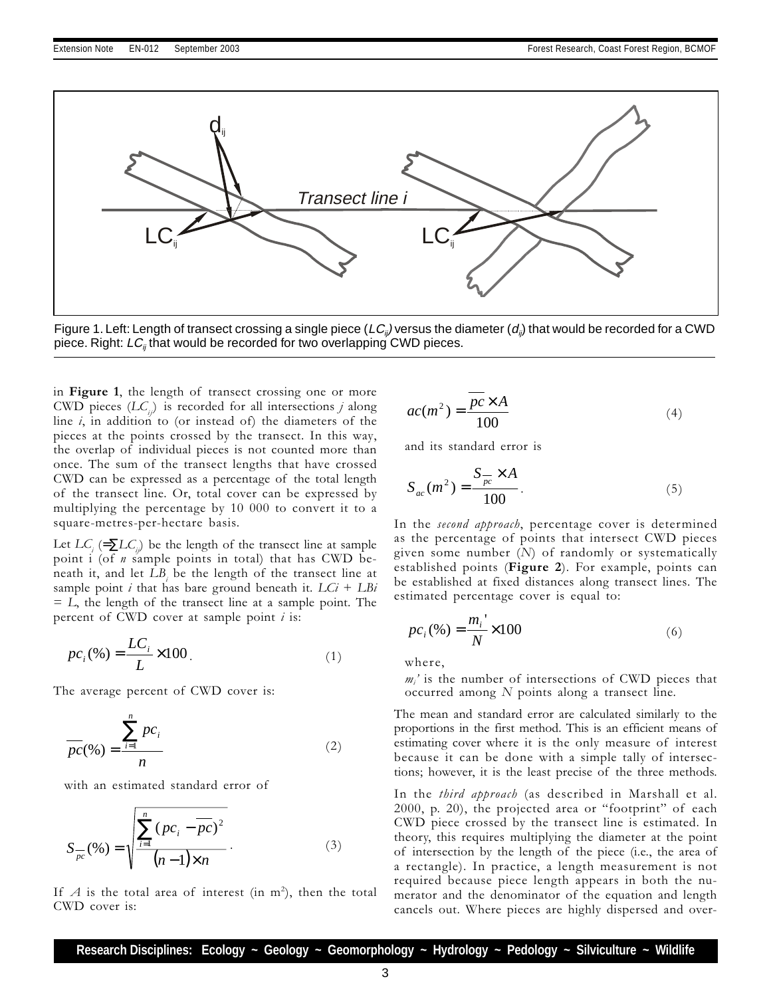

Figure 1. Left: Length of transect crossing a single piece ( $LC_{ii}$ ) versus the diameter ( $d_{ii}$ ) that would be recorded for a CWD piece. Right:  $LC_{ii}$  that would be recorded for two overlapping CWD pieces.

in Figure 1, the length of transect crossing one or more CWD pieces  $(LC_{ij})$  is recorded for all intersections j along line  $i$ , in addition to (or instead of) the diameters of the pieces at the points crossed by the transect. In this way, the overlap of individual pieces is not counted more than once. The sum of the transect lengths that have crossed CWD can be expressed as a percentage of the total length of the transect line. Or, total cover can be expressed by multiplying the percentage by 10 000 to convert it to a square-metres-per-hectare basis.

Let  $LC_i$  (= $\sum LC_{ij}$ ) be the length of the transect line at sample point  $i$  (of  $n$  sample points in total) that has CWD beneath it, and let  $LB<sub>i</sub>$  be the length of the transect line at sample point i that has bare ground beneath it.  $LCi + LBi$  $= L$ , the length of the transect line at a sample point. The percent of CWD cover at sample point  $i$  is:

$$
pc_i(\%) = \frac{LC_i}{L} \times 100.
$$
 (1)

The average percent of CWD cover is:

$$
\frac{\sum_{i=1}^{n} pc_i}{n}
$$
 (2)

with an estimated standard error of

$$
S_{\overline{pc}}(\% ) = \sqrt{\frac{\sum_{i=1}^{n} (pc_i - \overline{pc})^2}{(n-1)\times n}}.
$$
 (3)

If  $A$  is the total area of interest (in m<sup>2</sup>), then the total CWD cover is:

$$
ac(m^2) = \frac{pc \times A}{100} \tag{4}
$$

and its standard error is

$$
S_{ac}(m^2) = \frac{S_{pc} \times A}{100}.
$$
 (5)

In the second approach, percentage cover is determined as the percentage of points that intersect CWD pieces given some number  $(N)$  of randomly or systematically established points (Figure 2). For example, points can be established at fixed distances along transect lines. The estimated percentage cover is equal to:

$$
pc_i(\%) = \frac{m_i^{\prime}}{N} \times 100
$$
 (6)

where,

 $m_i$ ' is the number of intersections of CWD pieces that occurred among N points along a transect line.

The mean and standard error are calculated similarly to the proportions in the first method. This is an efficient means of estimating cover where it is the only measure of interest because it can be done with a simple tally of intersections; however, it is the least precise of the three methods.

In the *third approach* (as described in Marshall et al. 2000, p. 20), the projected area or "footprint" of each CWD piece crossed by the transect line is estimated. In theory, this requires multiplying the diameter at the point of intersection by the length of the piece (i.e., the area of a rectangle). In practice, a length measurement is not required because piece length appears in both the numerator and the denominator of the equation and length cancels out. Where pieces are highly dispersed and over-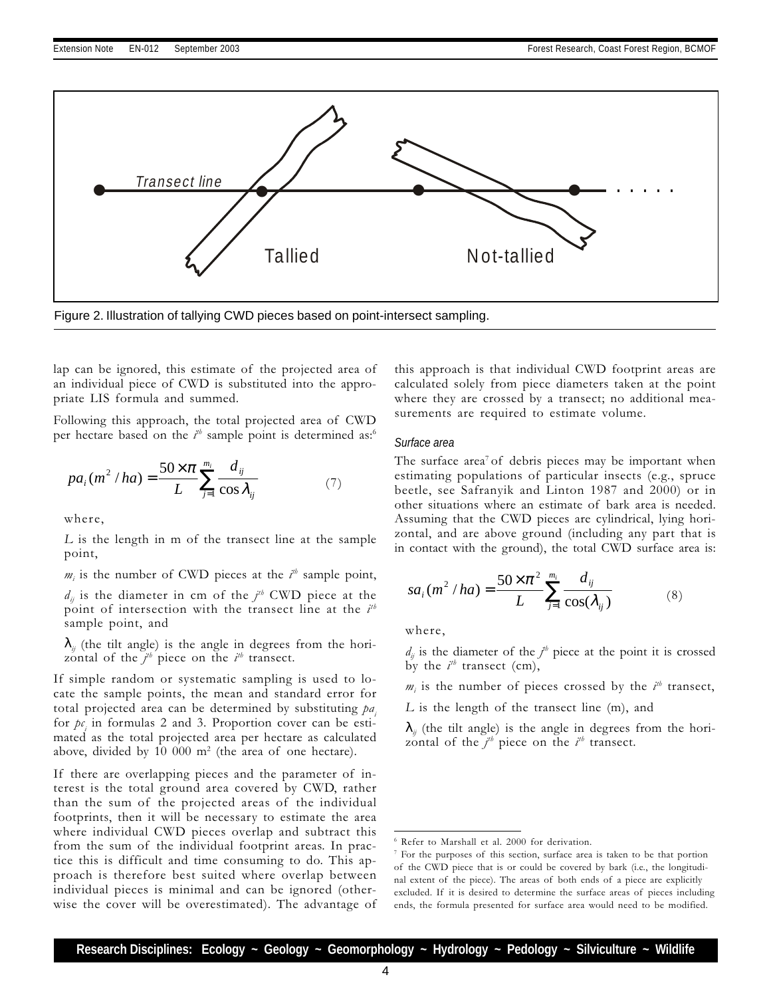

Figure 2. Illustration of tallying CWD pieces based on point-intersect sampling.

lap can be ignored, this estimate of the projected area of an individual piece of CWD is substituted into the appropriate LIS formula and summed.

Following this approach, the total projected area of CWD per hectare based on the  $i^{\text{th}}$  sample point is determined as:<sup>6</sup>

$$
pa_i(m^2/ha) = \frac{50 \times \pi}{L} \sum_{j=1}^{m_i} \frac{d_{ij}}{\cos \lambda_{ij}} \tag{7}
$$

where,

L is the length in m of the transect line at the sample point,

 $m_i$  is the number of CWD pieces at the  $i<sup>th</sup>$  sample point,

 $d_{ij}$  is the diameter in cm of the  $j<sup>th</sup>$  CWD piece at the point of intersection with the transect line at the  $i<sup>th</sup>$ sample point, and

 $\lambda_{ii}$  (the tilt angle) is the angle in degrees from the horizontal of the  $j<sup>th</sup>$  piece on the  $i<sup>th</sup>$  transect.

If simple random or systematic sampling is used to locate the sample points, the mean and standard error for total projected area can be determined by substituting  $pa$ . for  $p_{\mathcal{C}_i}$  in formulas 2 and 3. Proportion cover can be estimated as the total projected area per hectare as calculated above, divided by 10 000  $m^2$  (the area of one hectare).

If there are overlapping pieces and the parameter of interest is the total ground area covered by CWD, rather than the sum of the projected areas of the individual footprints, then it will be necessary to estimate the area where individual CWD pieces overlap and subtract this from the sum of the individual footprint areas. In practice this is difficult and time consuming to do. This approach is therefore best suited where overlap between individual pieces is minimal and can be ignored (otherwise the cover will be overestimated). The advantage of

this approach is that individual CWD footprint areas are calculated solely from piece diameters taken at the point where they are crossed by a transect; no additional measurements are required to estimate volume.

#### *Surface area*

The surface area<sup>7</sup> of debris pieces may be important when estimating populations of particular insects (e.g., spruce beetle, see Safranyik and Linton 1987 and 2000) or in other situations where an estimate of bark area is needed. Assuming that the CWD pieces are cylindrical, lying horizontal, and are above ground (including any part that is in contact with the ground), the total CWD surface area is:

$$
sa_i(m^2/ha) = \frac{50 \times \pi^2}{L} \sum_{j=1}^{m_i} \frac{d_{ij}}{\cos(\lambda_{ij})}
$$
 (8)

where,

 $d_{ij}$  is the diameter of the  $j^{\#}$  piece at the point it is crossed by the  $i^{th}$  transect (cm),

 $m_i$  is the number of pieces crossed by the  $i<sup>th</sup>$  transect,

L is the length of the transect line (m), and

 $\lambda_{ii}$  (the tilt angle) is the angle in degrees from the horizontal of the  $j<sup>th</sup>$  piece on the  $i<sup>th</sup>$  transect.

<sup>6</sup> Refer to Marshall et al. 2000 for derivation.

<sup>7</sup> For the purposes of this section, surface area is taken to be that portion of the CWD piece that is or could be covered by bark (i.e., the longitudinal extent of the piece). The areas of both ends of a piece are explicitly excluded. If it is desired to determine the surface areas of pieces including ends, the formula presented for surface area would need to be modified.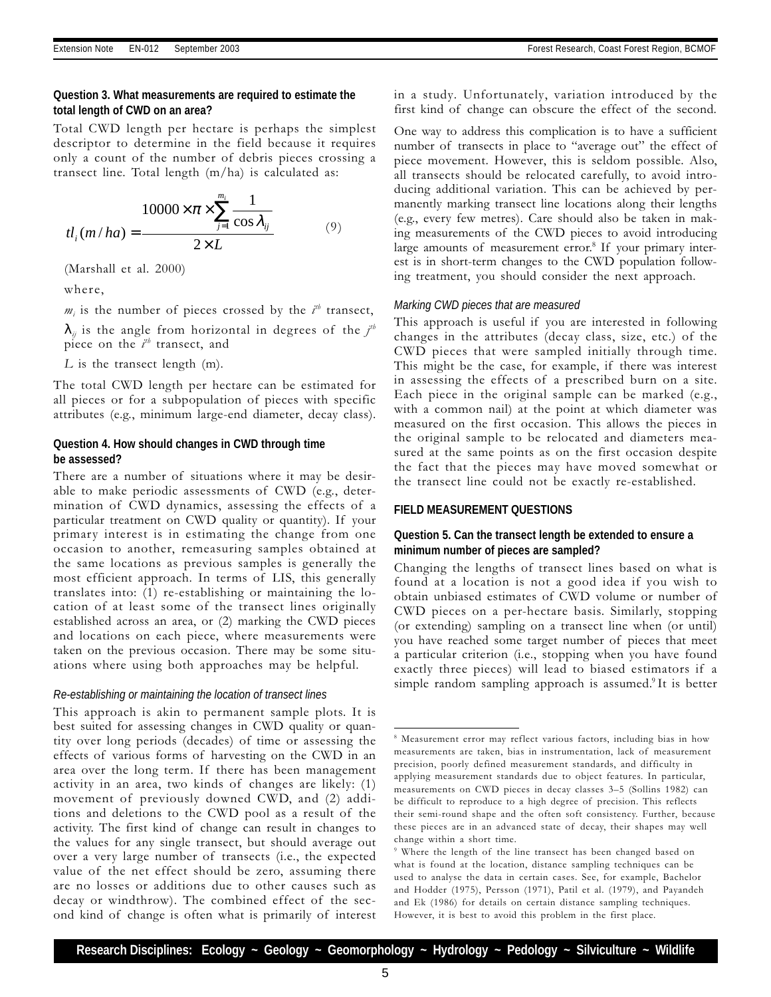#### **Question 3. What measurements are required to estimate the total length of CWD on an area?**

Total CWD length per hectare is perhaps the simplest descriptor to determine in the field because it requires only a count of the number of debris pieces crossing a transect line. Total length (m/ha) is calculated as:

$$
tl_{i}(m/ha) = \frac{10000 \times \pi \times \sum_{j=1}^{m_{i}} \frac{1}{\cos \lambda_{ij}}}{2 \times L}
$$
 (9)

(Marshall et al. 2000)

where,

 $m_i$  is the number of pieces crossed by the  $i<sup>th</sup>$  transect,

 $\lambda_{ij}$  is the angle from horizontal in degrees of the  $j^{th}$ piece on the  $i^{th}$  transect, and

L is the transect length (m).

The total CWD length per hectare can be estimated for all pieces or for a subpopulation of pieces with specific attributes (e.g., minimum large-end diameter, decay class).

#### **Question 4. How should changes in CWD through time be assessed?**

There are a number of situations where it may be desirable to make periodic assessments of CWD (e.g., determination of CWD dynamics, assessing the effects of a particular treatment on CWD quality or quantity). If your primary interest is in estimating the change from one occasion to another, remeasuring samples obtained at the same locations as previous samples is generally the most efficient approach. In terms of LIS, this generally translates into: (1) re-establishing or maintaining the location of at least some of the transect lines originally established across an area, or (2) marking the CWD pieces and locations on each piece, where measurements were taken on the previous occasion. There may be some situations where using both approaches may be helpful.

#### *Re-establishing or maintaining the location of transect lines*

This approach is akin to permanent sample plots. It is best suited for assessing changes in CWD quality or quantity over long periods (decades) of time or assessing the effects of various forms of harvesting on the CWD in an area over the long term. If there has been management activity in an area, two kinds of changes are likely: (1) movement of previously downed CWD, and (2) additions and deletions to the CWD pool as a result of the activity. The first kind of change can result in changes to the values for any single transect, but should average out over a very large number of transects (i.e., the expected value of the net effect should be zero, assuming there are no losses or additions due to other causes such as decay or windthrow). The combined effect of the second kind of change is often what is primarily of interest in a study. Unfortunately, variation introduced by the first kind of change can obscure the effect of the second.

One way to address this complication is to have a sufficient number of transects in place to "average out" the effect of piece movement. However, this is seldom possible. Also, all transects should be relocated carefully, to avoid introducing additional variation. This can be achieved by permanently marking transect line locations along their lengths (e.g., every few metres). Care should also be taken in making measurements of the CWD pieces to avoid introducing large amounts of measurement error.<sup>8</sup> If your primary interest is in short-term changes to the CWD population following treatment, you should consider the next approach.

#### *Marking CWD pieces that are measured*

This approach is useful if you are interested in following changes in the attributes (decay class, size, etc.) of the CWD pieces that were sampled initially through time. This might be the case, for example, if there was interest in assessing the effects of a prescribed burn on a site. Each piece in the original sample can be marked (e.g., with a common nail) at the point at which diameter was measured on the first occasion. This allows the pieces in the original sample to be relocated and diameters measured at the same points as on the first occasion despite the fact that the pieces may have moved somewhat or the transect line could not be exactly re-established.

#### **FIELD MEASUREMENT QUESTIONS**

#### **Question 5. Can the transect length be extended to ensure a minimum number of pieces are sampled?**

Changing the lengths of transect lines based on what is found at a location is not a good idea if you wish to obtain unbiased estimates of CWD volume or number of CWD pieces on a per-hectare basis. Similarly, stopping (or extending) sampling on a transect line when (or until) you have reached some target number of pieces that meet a particular criterion (i.e., stopping when you have found exactly three pieces) will lead to biased estimators if a simple random sampling approach is assumed.<sup>9</sup> It is better

<sup>8</sup> Measurement error may reflect various factors, including bias in how measurements are taken, bias in instrumentation, lack of measurement precision, poorly defined measurement standards, and difficulty in applying measurement standards due to object features. In particular, measurements on CWD pieces in decay classes 3-5 (Sollins 1982) can be difficult to reproduce to a high degree of precision. This reflects their semi-round shape and the often soft consistency. Further, because these pieces are in an advanced state of decay, their shapes may well change within a short time.

<sup>9</sup> Where the length of the line transect has been changed based on what is found at the location, distance sampling techniques can be used to analyse the data in certain cases. See, for example, Bachelor and Hodder (1975), Persson (1971), Patil et al. (1979), and Payandeh and Ek (1986) for details on certain distance sampling techniques. However, it is best to avoid this problem in the first place.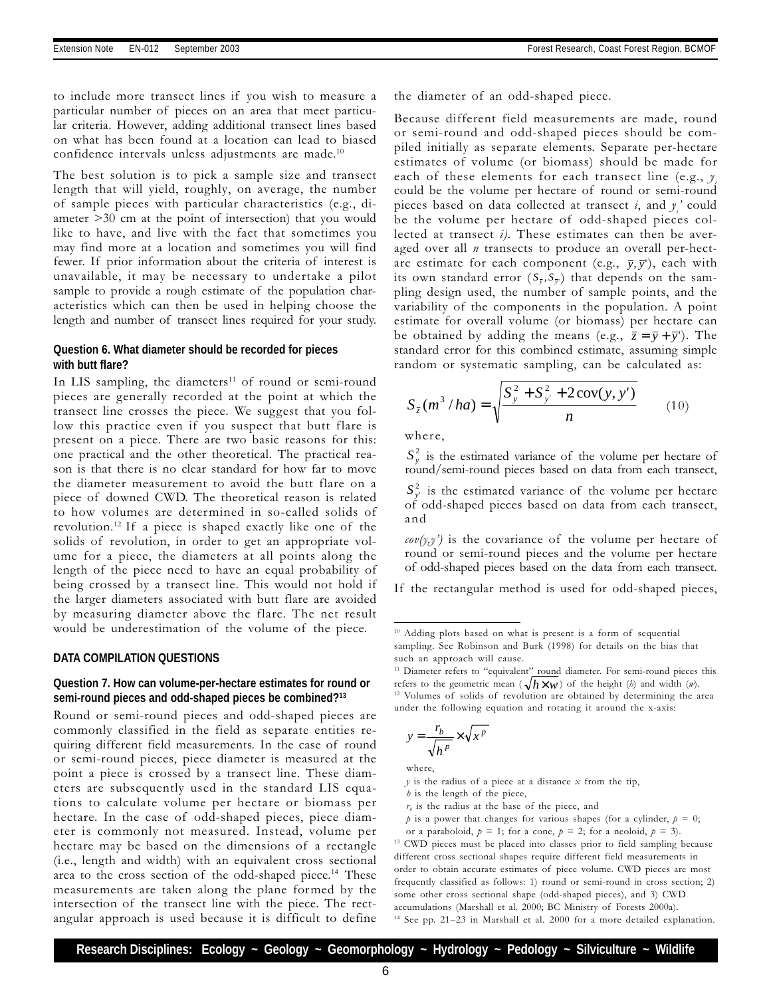to include more transect lines if you wish to measure a particular number of pieces on an area that meet particular criteria. However, adding additional transect lines based on what has been found at a location can lead to biased confidence intervals unless adjustments are made. $10$ 

The best solution is to pick a sample size and transect length that will yield, roughly, on average, the number of sample pieces with particular characteristics (e.g., diameter >30 cm at the point of intersection) that you would like to have, and live with the fact that sometimes you may find more at a location and sometimes you will find fewer. If prior information about the criteria of interest is unavailable, it may be necessary to undertake a pilot sample to provide a rough estimate of the population characteristics which can then be used in helping choose the length and number of transect lines required for your study.

#### **Question 6. What diameter should be recorded for pieces with butt flare?**

In LIS sampling, the diameters<sup>11</sup> of round or semi-round pieces are generally recorded at the point at which the transect line crosses the piece. We suggest that you follow this practice even if you suspect that butt flare is present on a piece. There are two basic reasons for this: one practical and the other theoretical. The practical reason is that there is no clear standard for how far to move the diameter measurement to avoid the butt flare on a piece of downed CWD. The theoretical reason is related to how volumes are determined in so-called solids of revolution.12 If a piece is shaped exactly like one of the solids of revolution, in order to get an appropriate volume for a piece, the diameters at all points along the length of the piece need to have an equal probability of being crossed by a transect line. This would not hold if the larger diameters associated with butt flare are avoided by measuring diameter above the flare. The net result would be underestimation of the volume of the piece.

#### **DATA COMPILATION QUESTIONS**

#### **Question 7. How can volume-per-hectare estimates for round or semi-round pieces and odd-shaped pieces be combined?13**

Round or semi-round pieces and odd-shaped pieces are commonly classified in the field as separate entities requiring different field measurements. In the case of round or semi-round pieces, piece diameter is measured at the point a piece is crossed by a transect line. These diameters are subsequently used in the standard LIS equations to calculate volume per hectare or biomass per hectare. In the case of odd-shaped pieces, piece diameter is commonly not measured. Instead, volume per hectare may be based on the dimensions of a rectangle (i.e., length and width) with an equivalent cross sectional area to the cross section of the odd-shaped piece.<sup>14</sup> These measurements are taken along the plane formed by the intersection of the transect line with the piece. The rectangular approach is used because it is difficult to define the diameter of an odd-shaped piece.

Because different field measurements are made, round or semi-round and odd-shaped pieces should be compiled initially as separate elements. Separate per-hectare estimates of volume (or biomass) should be made for each of these elements for each transect line (e.g.,  $y_i$ could be the volume per hectare of round or semi-round pieces based on data collected at transect *i*, and  $y_i$  could be the volume per hectare of odd-shaped pieces collected at transect  $i$ ). These estimates can then be averaged over all  $n$  transects to produce an overall per-hectare estimate for each component (e.g.,  $\bar{y}$ ,  $\bar{y}'$ ), each with its own standard error  $(S_{\bar{y}}, S_{\bar{y}})$  that depends on the sampling design used, the number of sample points, and the variability of the components in the population. A point estimate for overall volume (or biomass) per hectare can be obtained by adding the means (e.g.,  $\bar{z} = \bar{y} + \bar{y}'$ ). The standard error for this combined estimate, assuming simple random or systematic sampling, can be calculated as:

$$
S_{\bar{z}}(m^3/ha) = \sqrt{\frac{S_y^2 + S_{y'}^2 + 2\operatorname{cov}(y, y')}{n}}
$$
 (10)

where,

 $S<sub>v</sub><sup>2</sup>$  is the estimated variance of the volume per hectare of round/semi-round pieces based on data from each transect,

 $S_{y'}^2$  is the estimated variance of the volume per hectare of odd-shaped pieces based on data from each transect, and

 $\text{cov}(y, y')$  is the covariance of the volume per hectare of round or semi-round pieces and the volume per hectare of odd-shaped pieces based on the data from each transect.

If the rectangular method is used for odd-shaped pieces,

$$
y = \frac{r_b}{\sqrt{h^p}} \times \sqrt{x^p}
$$

where,

 $h$  is the length of the piece,

- $r<sub>b</sub>$  is the radius at the base of the piece, and
- $p$  is a power that changes for various shapes (for a cylinder,  $p = 0$ ;

or a paraboloid,  $p = 1$ ; for a cone,  $p = 2$ ; for a neoloid,  $p = 3$ ). <sup>13</sup> CWD pieces must be placed into classes prior to field sampling because different cross sectional shapes require different field measurements in order to obtain accurate estimates of piece volume. CWD pieces are most frequently classified as follows: 1) round or semi-round in cross section; 2) some other cross sectional shape (odd-shaped pieces), and 3) CWD accumulations (Marshall et al. 2000; BC Ministry of Forests 2000a). <sup>14</sup> See pp. 21-23 in Marshall et al. 2000 for a more detailed explanation.

**Research Disciplines: Ecology ~ Geology ~ Geomorphology ~ Hydrology ~ Pedology ~ Silviculture ~ Wildlife**

<sup>10</sup> Adding plots based on what is present is a form of sequential sampling. See Robinson and Burk (1998) for details on the bias that such an approach will cause.

<sup>&</sup>lt;sup>11</sup> Diameter refers to "equivalent" round diameter. For semi-round pieces this refers to the geometric mean ( $\sqrt{h} \times w$ ) of the height (*b*) and width (*v*). <sup>12</sup> Volumes of solids of revolution are obtained by determining the area under the following equation and rotating it around the x-axis:

 $y$  is the radius of a piece at a distance  $x$  from the tip,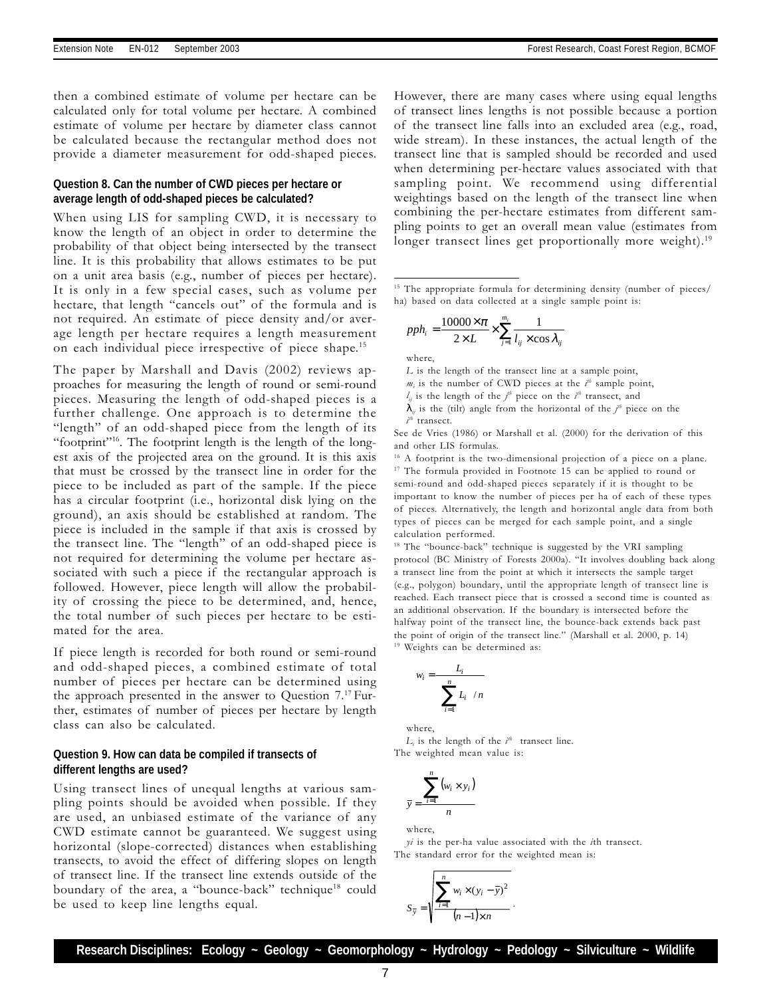then a combined estimate of volume per hectare can be calculated only for total volume per hectare. A combined estimate of volume per hectare by diameter class cannot be calculated because the rectangular method does not provide a diameter measurement for odd-shaped pieces.

#### **Question 8. Can the number of CWD pieces per hectare or average length of odd-shaped pieces be calculated?**

When using LIS for sampling CWD, it is necessary to know the length of an object in order to determine the probability of that object being intersected by the transect line. It is this probability that allows estimates to be put on a unit area basis (e.g., number of pieces per hectare). It is only in a few special cases, such as volume per hectare, that length "cancels out" of the formula and is not required. An estimate of piece density and/or average length per hectare requires a length measurement on each individual piece irrespective of piece shape.15

The paper by Marshall and Davis (2002) reviews approaches for measuring the length of round or semi-round pieces. Measuring the length of odd-shaped pieces is a further challenge. One approach is to determine the "length" of an odd-shaped piece from the length of its "footprint"<sup>16</sup>. The footprint length is the length of the longest axis of the projected area on the ground. It is this axis that must be crossed by the transect line in order for the piece to be included as part of the sample. If the piece has a circular footprint (i.e., horizontal disk lying on the ground), an axis should be established at random. The piece is included in the sample if that axis is crossed by the transect line. The "length" of an odd-shaped piece is not required for determining the volume per hectare associated with such a piece if the rectangular approach is followed. However, piece length will allow the probability of crossing the piece to be determined, and, hence, the total number of such pieces per hectare to be estimated for the area.

If piece length is recorded for both round or semi-round and odd-shaped pieces, a combined estimate of total number of pieces per hectare can be determined using the approach presented in the answer to Question  $7.^{17}$  Further, estimates of number of pieces per hectare by length class can also be calculated.

#### **Question 9. How can data be compiled if transects of different lengths are used?**

Using transect lines of unequal lengths at various sampling points should be avoided when possible. If they are used, an unbiased estimate of the variance of any CWD estimate cannot be guaranteed. We suggest using horizontal (slope-corrected) distances when establishing transects, to avoid the effect of differing slopes on length of transect line. If the transect line extends outside of the boundary of the area, a "bounce-back" technique<sup>18</sup> could be used to keep line lengths equal.

However, there are many cases where using equal lengths of transect lines lengths is not possible because a portion of the transect line falls into an excluded area (e.g., road, wide stream). In these instances, the actual length of the transect line that is sampled should be recorded and used when determining per-hectare values associated with that sampling point. We recommend using differential weightings based on the length of the transect line when combining the per-hectare estimates from different sampling points to get an overall mean value (estimates from longer transect lines get proportionally more weight).<sup>19</sup>

<sup>15</sup> The appropriate formula for determining density (number of pieces/ ha) based on data collected at a single sample point is:

$$
pph_i = \frac{10000 \times \pi}{2 \times L} \times \sum_{j=1}^{m_i} \frac{1}{l_{ij} \times \cos \lambda_{ij}}
$$

where,

- L is the length of the transect line at a sample point,
- $m_i$  is the number of CWD pieces at the  $i<sup>th</sup>$  sample point,
- $l_{ij}$  is the length of the  $j^{th}$  piece on the  $i^{th}$  transect, and
- $\lambda_{ij}$  is the (tilt) angle from the horizontal of the  $j^{\#}$  piece on the  $i<sup>th</sup>$  transect.

See de Vries (1986) or Marshall et al. (2000) for the derivation of this and other LIS formulas.

<sup>16</sup> A footprint is the two-dimensional projection of a piece on a plane. <sup>17</sup> The formula provided in Footnote 15 can be applied to round or semi-round and odd-shaped pieces separately if it is thought to be important to know the number of pieces per ha of each of these types of pieces. Alternatively, the length and horizontal angle data from both types of pieces can be merged for each sample point, and a single calculation performed.

<sup>18</sup> The "bounce-back" technique is suggested by the VRI sampling protocol (BC Ministry of Forests 2000a). "It involves doubling back along a transect line from the point at which it intersects the sample target (e.g., polygon) boundary, until the appropriate length of transect line is reached. Each transect piece that is crossed a second time is counted as an additional observation. If the boundary is intersected before the halfway point of the transect line, the bounce-back extends back past the point of origin of the transect line." (Marshall et al. 2000, p. 14) 19 Weights can be determined as:

$$
w_i = \frac{L_i}{\left(\sum_{i=1}^n L_i\right)/n}
$$

 where,  $L_i$  is the length of the  $i<sup>th</sup>$  transect line. The weighted mean value is:

$$
\overline{y} = \frac{\sum_{i=1}^{n} (w_i \times y_i)}{n}
$$

where,

 $yi$  is the per-ha value associated with the  $i$ th transect. The standard error for the weighted mean is:

.

$$
S_{\overline{y}} = \sqrt{\sum_{i=1}^{n} w_i \times (y_i - \overline{y})^2 \over (n-1) \times n}
$$

**Research Disciplines: Ecology ~ Geology ~ Geomorphology ~ Hydrology ~ Pedology ~ Silviculture ~ Wildlife**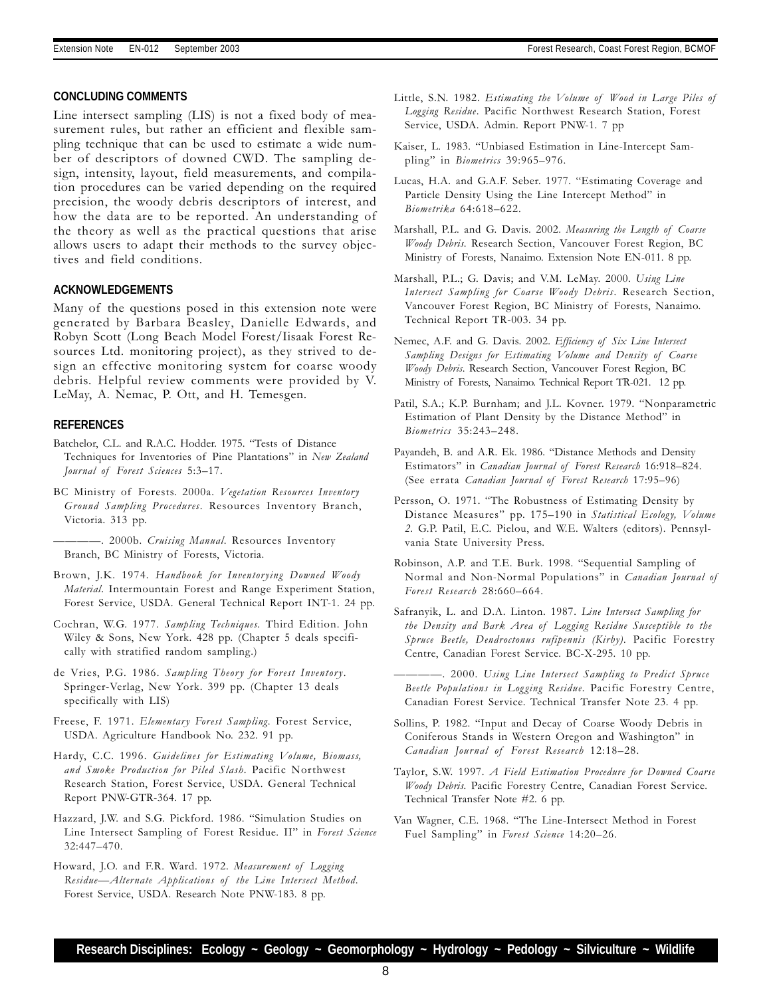#### **CONCLUDING COMMENTS**

Line intersect sampling (LIS) is not a fixed body of measurement rules, but rather an efficient and flexible sampling technique that can be used to estimate a wide number of descriptors of downed CWD. The sampling design, intensity, layout, field measurements, and compilation procedures can be varied depending on the required precision, the woody debris descriptors of interest, and how the data are to be reported. An understanding of the theory as well as the practical questions that arise allows users to adapt their methods to the survey objectives and field conditions.

#### **ACKNOWLEDGEMENTS**

Many of the questions posed in this extension note were generated by Barbara Beasley, Danielle Edwards, and Robyn Scott (Long Beach Model Forest/Iisaak Forest Resources Ltd. monitoring project), as they strived to design an effective monitoring system for coarse woody debris. Helpful review comments were provided by V. LeMay, A. Nemac, P. Ott, and H. Temesgen.

#### **REFERENCES**

Batchelor, C.L. and R.A.C. Hodder. 1975. "Tests of Distance Techniques for Inventories of Pine Plantations" in New Zealand Journal of Forest Sciences 5:3-17.

BC Ministry of Forests. 2000a. Vegetation Resources Inventory Ground Sampling Procedures. Resources Inventory Branch, Victoria. 313 pp.

-. 2000b. Cruising Manual. Resources Inventory Branch, BC Ministry of Forests, Victoria.

- Brown, J.K. 1974. Handbook for Inventorying Downed Woody Material. Intermountain Forest and Range Experiment Station, Forest Service, USDA. General Technical Report INT-1. 24 pp.
- Cochran, W.G. 1977. Sampling Techniques. Third Edition. John Wiley & Sons, New York. 428 pp. (Chapter 5 deals specifically with stratified random sampling.)
- de Vries, P.G. 1986. Sampling Theory for Forest Inventory. Springer-Verlag, New York. 399 pp. (Chapter 13 deals specifically with LIS)
- Freese, F. 1971. Elementary Forest Sampling. Forest Service, USDA. Agriculture Handbook No. 232. 91 pp.
- Hardy, C.C. 1996. Guidelines for Estimating Volume, Biomass, and Smoke Production for Piled Slash. Pacific Northwest Research Station, Forest Service, USDA. General Technical Report PNW-GTR-364. 17 pp.
- Hazzard, J.W. and S.G. Pickford. 1986. "Simulation Studies on Line Intersect Sampling of Forest Residue. II" in Forest Science 32:447-470.
- Howard, J.O. and F.R. Ward. 1972. Measurement of Logging Residue-Alternate Applications of the Line Intersect Method. Forest Service, USDA. Research Note PNW-183. 8 pp.
- Little, S.N. 1982. Estimating the Volume of Wood in Large Piles of Logging Residue. Pacific Northwest Research Station, Forest Service, USDA. Admin. Report PNW-1. 7 pp
- Kaiser, L. 1983. "Unbiased Estimation in Line-Intercept Sampling" in Biometrics 39:965-976.
- Lucas, H.A. and G.A.F. Seber. 1977. "Estimating Coverage and Particle Density Using the Line Intercept Method" in Biometrika 64:618-622.
- Marshall, P.L. and G. Davis. 2002. Measuring the Length of Coarse Woody Debris. Research Section, Vancouver Forest Region, BC Ministry of Forests, Nanaimo. Extension Note EN-011. 8 pp.
- Marshall, P.L.; G. Davis; and V.M. LeMay. 2000. Using Line Intersect Sampling for Coarse Woody Debris. Research Section, Vancouver Forest Region, BC Ministry of Forests, Nanaimo. Technical Report TR-003. 34 pp.
- Nemec, A.F. and G. Davis. 2002. Efficiency of Six Line Intersect Sampling Designs for Estimating Volume and Density of Coarse Woody Debris. Research Section, Vancouver Forest Region, BC Ministry of Forests, Nanaimo. Technical Report TR-021. 12 pp.
- Patil, S.A.; K.P. Burnham; and J.L. Kovner. 1979. "Nonparametric Estimation of Plant Density by the Distance Method" in Biometrics 35:243-248.
- Payandeh, B. and A.R. Ek. 1986. "Distance Methods and Density Estimators" in Canadian Journal of Forest Research 16:918-824. (See errata Canadian Journal of Forest Research 17:95-96)
- Persson, O. 1971. "The Robustness of Estimating Density by Distance Measures" pp. 175-190 in Statistical Ecology, Volume 2. G.P. Patil, E.C. Pielou, and W.E. Walters (editors). Pennsylvania State University Press.
- Robinson, A.P. and T.E. Burk. 1998. "Sequential Sampling of Normal and Non-Normal Populations" in Canadian Journal of Forest Research 28:660-664.
- Safranyik, L. and D.A. Linton. 1987. Line Intersect Sampling for the Density and Bark Area of Logging Residue Susceptible to the Spruce Beetle, Dendroctonus rufipennis (Kirby). Pacific Forestry Centre, Canadian Forest Service. BC-X-295. 10 pp.
- . 2000. Using Line Intersect Sampling to Predict Spruce Beetle Populations in Logging Residue. Pacific Forestry Centre, Canadian Forest Service. Technical Transfer Note 23. 4 pp.
- Sollins, P. 1982. "Input and Decay of Coarse Woody Debris in Coniferous Stands in Western Oregon and Washington" in Canadian Journal of Forest Research 12:18-28.
- Taylor, S.W. 1997. A Field Estimation Procedure for Downed Coarse Woody Debris. Pacific Forestry Centre, Canadian Forest Service. Technical Transfer Note #2. 6 pp.
- Van Wagner, C.E. 1968. "The Line-Intersect Method in Forest Fuel Sampling" in Forest Science 14:20-26.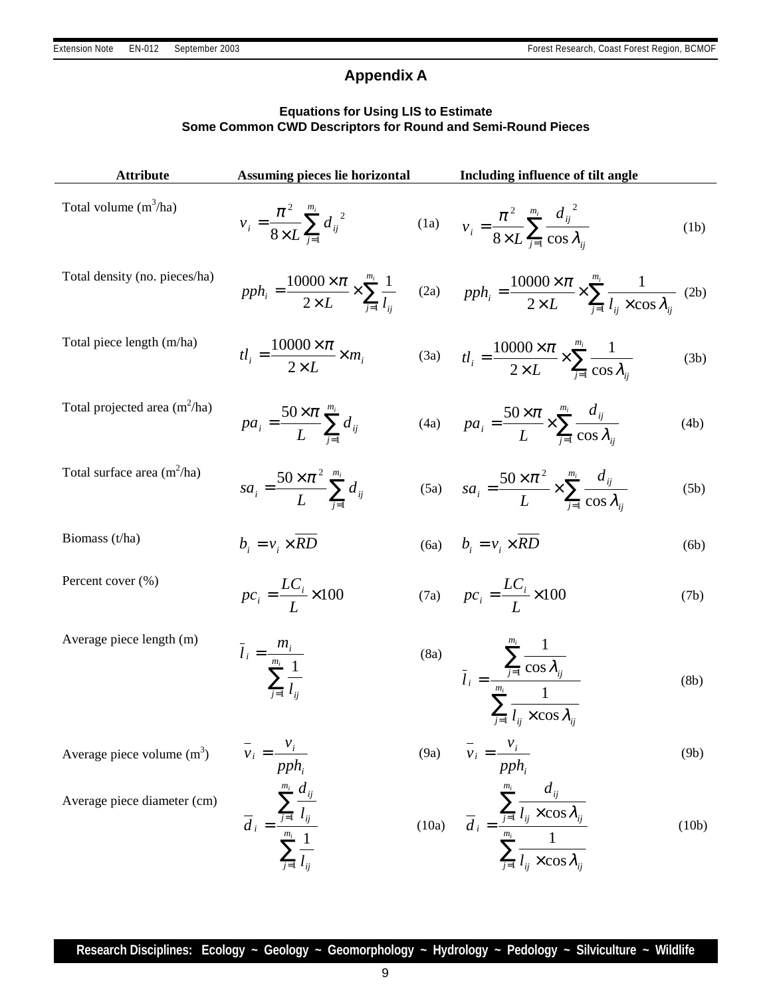# **Appendix A**

# **Equations for Using LIS to Estimate Some Common CWD Descriptors for Round and Semi-Round Pieces**

| <b>Attribute</b>                | Assuming pieces lie horizontal                                                                                                                           |  | Including influence of tilt angle                                                                                                                                                                                |       |
|---------------------------------|----------------------------------------------------------------------------------------------------------------------------------------------------------|--|------------------------------------------------------------------------------------------------------------------------------------------------------------------------------------------------------------------|-------|
| Total volume $(m^3/ha)$         | $v_i = \frac{\pi^2}{8 \times L} \sum_{i=1}^{m_i} d_{ij}^{2}$ (1a) $v_i = \frac{\pi^2}{8 \times L} \sum_{i=1}^{m_i} \frac{d_{ij}^{2}}{\cos \lambda_{ij}}$ |  |                                                                                                                                                                                                                  | (1b)  |
| Total density (no. pieces/ha)   |                                                                                                                                                          |  | $pph_i = \frac{10000 \times \pi}{2 \times L} \times \sum_{i=1}^{m_i} \frac{1}{l_{ii}}$ (2a) $pph_i = \frac{10000 \times \pi}{2 \times L} \times \sum_{i=1}^{m_i} \frac{1}{l_{ii} \times \cos \lambda_{ii}}$ (2b) |       |
| Total piece length (m/ha)       | $tl_i = \frac{10000 \times \pi}{2 \times L} \times m_i$                                                                                                  |  | (3a) $t l_i = \frac{10000 \times \pi}{2 \times L} \times \sum_{i=1}^{m_i} \frac{1}{\cos \lambda_i}$                                                                                                              | (3b)  |
| Total projected area $(m^2/ha)$ | $pa_i = \frac{50 \times \pi}{L} \sum_{i=1}^{m_i} d_{ij}$                                                                                                 |  | (4a) $pa_i = \frac{50 \times \pi}{L} \times \sum_{i=1}^{m_i} \frac{d_{ij}}{\cos \lambda_{ii}}$                                                                                                                   | (4b)  |
| Total surface area $(m^2/ha)$   | $sa_i = \frac{50 \times \pi^2}{L} \sum_{i=1}^{m_i} d_{ij}$                                                                                               |  | (5a) $sa_i = \frac{50 \times \pi^2}{L} \times \sum_{i=1}^{m_i} \frac{d_{ij}}{\cos \lambda_i}$                                                                                                                    | (5b)  |
| Biomass $(t/ha)$                | $b_i = v_i \times RD$                                                                                                                                    |  | (6a) $b_i = v_i \times \overline{RD}$                                                                                                                                                                            | (6b)  |
| Percent cover (%)               | $pc_i = \frac{LC_i}{I} \times 100$                                                                                                                       |  | (7a) $pc_i = \frac{LC_i}{I} \times 100$                                                                                                                                                                          | (7b)  |
| Average piece length (m)        | $\bar{l}_i = \frac{m_i}{\sum_{i=1}^{m_i} \frac{1}{l_{ii}}}$                                                                                              |  | (8a) $\bar{l}_i = \frac{\sum_{j=1}^{m_i} \frac{1}{\cos \lambda_{ij}}}{\sum_{i=1}^{m_i} \frac{1}{l_{ii} \times \cos \lambda_{ii}}}$                                                                               | (8b)  |
| Average piece volume $(m3)$     | $\overline{v}_i = \frac{v_i}{pph_i}$                                                                                                                     |  | (9a) $\overline{v}_i = \frac{v_i}{pph_i}$                                                                                                                                                                        | (9b)  |
| Average piece diameter (cm)     | $\overline{d}_{i} = \frac{\sum_{j=1}^{m_{i}} \frac{d_{ij}}{l_{ij}}}{\sum_{j=1}^{m_{i}} \frac{1}{l_{ij}}}$                                                |  | (10a) $\overline{d}_i = \frac{\sum_{j=1}^{m_i} \frac{d_{ij}}{l_{ij} \times \cos \lambda_{ij}}}{\sum_{j=1}^{m_i} \frac{1}{l_{ij} \times \cos \lambda_{ij}}}$                                                      | (10b) |